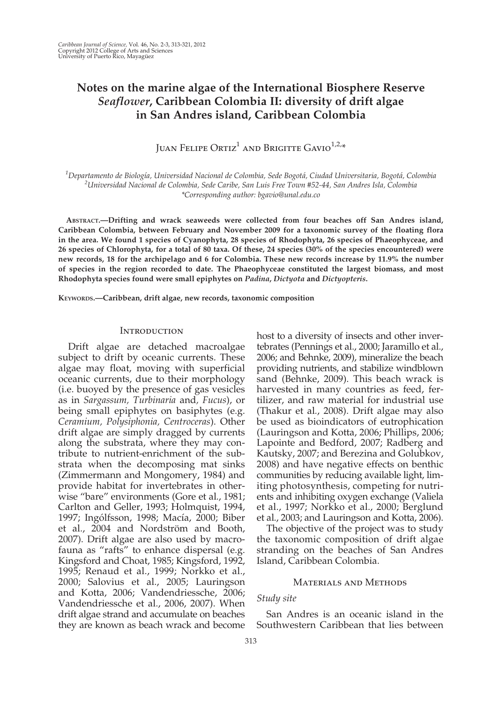# Notes on the marine algae of the International Biosphere Reserve Seaflower, Caribbean Colombia II: diversity of drift algae in San Andres island, Caribbean Colombia

JUAN FELIPE ORTIZ<sup>1</sup> AND BRIGITTE GAVIO<sup>1,2,\*</sup>

<sup>1</sup>Departamento de Biología, Universidad Nacional de Colombia, Sede Bogotá, Ciudad Universitaria, Bogotá, Colombia<br>21 Iniversidad Nacional de Colombia, Sede Caribe, San Luis Free Town #52.44, San Andres Isla, Colombia <sup>2</sup>Universidad Nacional de Colombia, Sede Caribe, San Luis Free Town #52-44, San Andres Isla, Colombia \*Corresponding author: bgavio@unal.edu.co

ABSTRACT.—Drifting and wrack seaweeds were collected from four beaches off San Andres island, Caribbean Colombia, between February and November 2009 for a taxonomic survey of the floating flora in the area. We found 1 species of Cyanophyta, 28 species of Rhodophyta, 26 species of Phaeophyceae, and 26 species of Chlorophyta, for a total of 80 taxa. Of these, 24 species (30% of the species encountered) were new records, 18 for the archipelago and 6 for Colombia. These new records increase by 11.9% the number of species in the region recorded to date. The Phaeophyceae constituted the largest biomass, and most Rhodophyta species found were small epiphytes on Padina, Dictyota and Dictyopteris.

KEYWORDS.—Caribbean, drift algae, new records, taxonomic composition

## **INTRODUCTION**

Drift algae are detached macroalgae subject to drift by oceanic currents. These algae may float, moving with superficial oceanic currents, due to their morphology (i.e. buoyed by the presence of gas vesicles as in Sargassum, Turbinaria and, Fucus), or being small epiphytes on basiphytes (e.g. Ceramium, Polysiphonia, Centroceras). Other drift algae are simply dragged by currents along the substrata, where they may contribute to nutrient-enrichment of the substrata when the decomposing mat sinks (Zimmermann and Mongomery, 1984) and provide habitat for invertebrates in otherwise "bare" environments (Gore et al., 1981; Carlton and Geller, 1993; Holmquist, 1994, 1997; Ingólfsson, 1998; Macía, 2000; Biber et al., 2004 and Nordström and Booth, 2007). Drift algae are also used by macrofauna as "rafts" to enhance dispersal (e.g. Kingsford and Choat, 1985; Kingsford, 1992, 1995; Renaud et al., 1999; Norkko et al., 2000; Salovius et al., 2005; Lauringson and Kotta, 2006; Vandendriessche, 2006; Vandendriessche et al., 2006, 2007). When drift algae strand and accumulate on beaches they are known as beach wrack and become

host to a diversity of insects and other invertebrates (Pennings et al., 2000; Jaramillo et al., 2006; and Behnke, 2009), mineralize the beach providing nutrients, and stabilize windblown sand (Behnke, 2009). This beach wrack is harvested in many countries as feed, fertilizer, and raw material for industrial use (Thakur et al., 2008). Drift algae may also be used as bioindicators of eutrophication (Lauringson and Kotta, 2006; Phillips, 2006; Lapointe and Bedford, 2007; Radberg and Kautsky, 2007; and Berezina and Golubkov, 2008) and have negative effects on benthic communities by reducing available light, limiting photosynthesis, competing for nutrients and inhibiting oxygen exchange (Valiela et al., 1997; Norkko et al., 2000; Berglund et al., 2003; and Lauringson and Kotta, 2006).

The objective of the project was to study the taxonomic composition of drift algae stranding on the beaches of San Andres Island, Caribbean Colombia.

### Materials and Methods

# Study site

San Andres is an oceanic island in the Southwestern Caribbean that lies between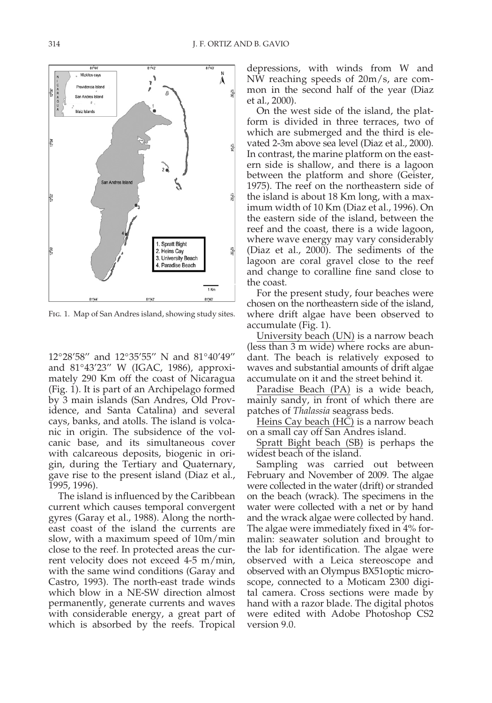Fig. 1. Map of San Andres island, showing study sites.

12°28'58'' and 12°35'55'' N and 81°40'49'' and 81°43'23'' W (IGAC, 1986), approximately 290 Km off the coast of Nicaragua (Fig. 1). It is part of an Archipelago formed by 3 main islands (San Andres, Old Providence, and Santa Catalina) and several cays, banks, and atolls. The island is volcanic in origin. The subsidence of the volcanic base, and its simultaneous cover with calcareous deposits, biogenic in origin, during the Tertiary and Quaternary, gave rise to the present island (Diaz et al., 1995, 1996).

The island is influenced by the Caribbean current which causes temporal convergent gyres (Garay et al., 1988). Along the northeast coast of the island the currents are slow, with a maximum speed of 10m/min close to the reef. In protected areas the current velocity does not exceed 4-5 m/min, with the same wind conditions (Garay and Castro, 1993). The north-east trade winds which blow in a NE-SW direction almost permanently, generate currents and waves with considerable energy, a great part of which is absorbed by the reefs. Tropical depressions, with winds from W and NW reaching speeds of 20m/s, are common in the second half of the year (Diaz et al., 2000).

On the west side of the island, the platform is divided in three terraces, two of which are submerged and the third is elevated 2-3m above sea level (Diaz et al., 2000). In contrast, the marine platform on the eastern side is shallow, and there is a lagoon between the platform and shore (Geister, 1975). The reef on the northeastern side of the island is about 18 Km long, with a maximum width of 10 Km (Diaz et al., 1996). On the eastern side of the island, between the reef and the coast, there is a wide lagoon, where wave energy may vary considerably (Diaz et al., 2000). The sediments of the lagoon are coral gravel close to the reef and change to coralline fine sand close to the coast.

For the present study, four beaches were chosen on the northeastern side of the island, where drift algae have been observed to accumulate (Fig. 1).

University beach (UN) is a narrow beach (less than 3 m wide) where rocks are abundant. The beach is relatively exposed to waves and substantial amounts of drift algae accumulate on it and the street behind it.

Paradise Beach (PA) is a wide beach, mainly sandy, in front of which there are patches of Thalassia seagrass beds.

Heins Cay beach (HC) is a narrow beach on a small cay off San Andres island.

Spratt Bight beach (SB) is perhaps the widest beach of the island.

Sampling was carried out between February and November of 2009. The algae were collected in the water (drift) or stranded on the beach (wrack). The specimens in the water were collected with a net or by hand and the wrack algae were collected by hand. The algae were immediately fixed in 4% formalin: seawater solution and brought to the lab for identification. The algae were observed with a Leica stereoscope and observed with an Olympus BX51optic microscope, connected to a Moticam 2300 digital camera. Cross sections were made by hand with a razor blade. The digital photos were edited with Adobe Photoshop CS2 version 9.0.

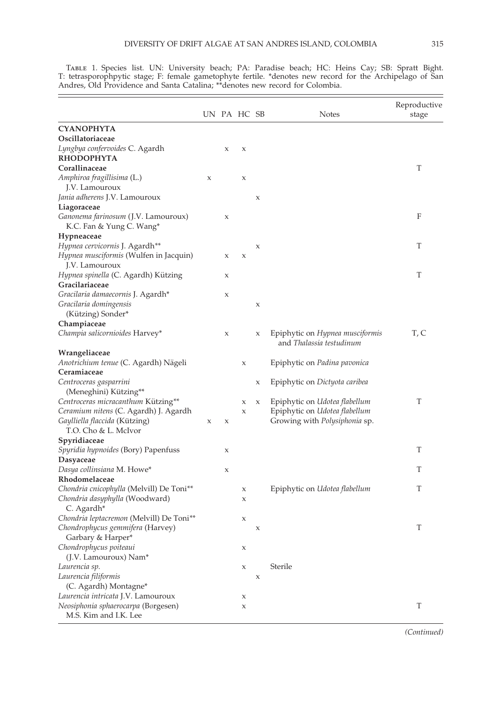|  |  | G |
|--|--|---|
|  |  |   |

|                                                                                                |   |                     |                           |   |                                                                       | Reproductive |
|------------------------------------------------------------------------------------------------|---|---------------------|---------------------------|---|-----------------------------------------------------------------------|--------------|
|                                                                                                |   |                     | UN PA HC SB               |   | <b>Notes</b>                                                          | stage        |
| <b>CYANOPHYTA</b>                                                                              |   |                     |                           |   |                                                                       |              |
| Oscillatoriaceae                                                                               |   |                     |                           |   |                                                                       |              |
| Lyngbya confervoides C. Agardh<br><b>RHODOPHYTA</b>                                            |   | X                   | $\boldsymbol{\mathsf{X}}$ |   |                                                                       |              |
| Corallinaceae                                                                                  |   |                     |                           |   |                                                                       | T            |
| Amphiroa fragillisima (L.)<br>J.V. Lamouroux                                                   | X |                     | $\boldsymbol{\mathsf{X}}$ |   |                                                                       |              |
| Jania adherens J.V. Lamouroux<br>Liagoraceae                                                   |   |                     |                           | X |                                                                       |              |
| Ganonema farinosum (J.V. Lamouroux)<br>K.C. Fan & Yung C. Wang*                                |   | X                   |                           |   |                                                                       | F            |
| Hypneaceae                                                                                     |   |                     |                           |   |                                                                       |              |
| Hypnea cervicornis J. Agardh**                                                                 |   |                     |                           | X |                                                                       | T            |
| Hypnea musciformis (Wulfen in Jacquin)<br>J.V. Lamouroux                                       |   | X                   | $\boldsymbol{\chi}$       |   |                                                                       |              |
| Hypnea spinella (C. Agardh) Kützing<br>Gracilariaceae                                          |   | Х                   |                           |   |                                                                       | Т            |
| Gracilaria damaecornis J. Agardh*                                                              |   | X                   |                           |   |                                                                       |              |
| Gracilaria domingensis<br>(Kützing) Sonder*                                                    |   |                     |                           | X |                                                                       |              |
| Champiaceae                                                                                    |   |                     |                           |   |                                                                       |              |
| Champia salicornioides Harvey*                                                                 |   | X                   |                           | X | Epiphytic on Hypnea musciformis<br>and Thalassia testudinum           | T, C         |
| Wrangeliaceae                                                                                  |   |                     |                           |   |                                                                       |              |
| Anotrichium tenue (C. Agardh) Nägeli                                                           |   |                     | $\boldsymbol{\mathsf{X}}$ |   | Epiphytic on <i>Padina pavonica</i>                                   |              |
| Ceramiaceae                                                                                    |   |                     |                           |   |                                                                       |              |
| Centroceras gasparrini                                                                         |   |                     |                           | Х | Epiphytic on Dictyota caribea                                         |              |
| (Meneghini) Kützing**                                                                          |   |                     |                           |   |                                                                       |              |
| Centroceras micracanthum Kützing**                                                             |   |                     | X                         | X | Epiphytic on Udotea flabellum                                         | T            |
| Ceramium nitens (C. Agardh) J. Agardh<br>Gaylliella flaccida (Kützing)<br>T.O. Cho & L. McIvor | X | $\boldsymbol{\chi}$ | Х                         |   | Epiphytic on Udotea flabellum<br>Growing with <i>Polysiphonia</i> sp. |              |
| Spyridiaceae                                                                                   |   |                     |                           |   |                                                                       |              |
| Spyridia hypnoides (Bory) Papenfuss<br>Dasyaceae                                               |   | X                   |                           |   |                                                                       | T            |
| Dasya collinsiana M. Howe*                                                                     |   | Х                   |                           |   |                                                                       | T            |
| Rhodomelaceae                                                                                  |   |                     |                           |   |                                                                       |              |
| Chondria cnicophylla (Melvill) De Toni**                                                       |   |                     | Х                         |   | Epiphytic on Udotea flabellum                                         | T            |
| Chondria dasyphylla (Woodward)<br>C. Agardh*                                                   |   |                     | X                         |   |                                                                       |              |
| Chondria leptacremon (Melvill) De Toni**                                                       |   |                     | Х                         |   |                                                                       |              |
| Chondrophycus gemmifera (Harvey)<br>Garbary & Harper <sup>*</sup>                              |   |                     |                           | Х |                                                                       | T            |
| Chondrophycus poiteaui                                                                         |   |                     | X                         |   |                                                                       |              |
| (J.V. Lamouroux) Nam*                                                                          |   |                     |                           |   |                                                                       |              |
| Laurencia sp.                                                                                  |   |                     | $\mathsf X$               |   | Sterile                                                               |              |
| Laurencia filiformis                                                                           |   |                     |                           | X |                                                                       |              |
| (C. Agardh) Montagne*                                                                          |   |                     |                           |   |                                                                       |              |
| Laurencia intricata J.V. Lamouroux                                                             |   |                     | X                         |   |                                                                       |              |
| Neosiphonia sphaerocarpa (Børgesen)<br>M.S. Kim and I.K. Lee                                   |   |                     | $\mathsf X$               |   |                                                                       | T            |

Table 1. Species list. UN: University beach; PA: Paradise beach; HC: Heins Cay; SB: Spratt Bight. T: tetrasporophpytic stage; F: female gametophyte fertile. \*denotes new record for the Archipelago of San Andres, Old Providence and Santa Catalina; \*\*denotes new record for Colombia.

 $\overline{a}$ 

(Continued)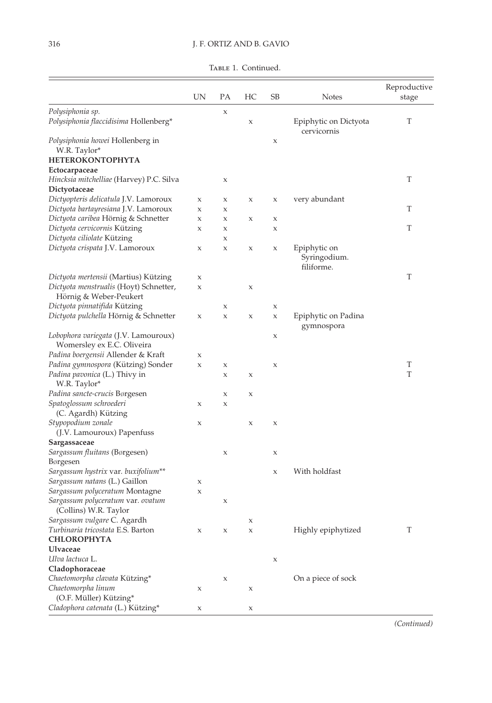TABLE 1. Continued.

|                                                                    | UN | РA | HС          | SВ                        | <b>Notes</b>                               | Reproductive<br>stage |
|--------------------------------------------------------------------|----|----|-------------|---------------------------|--------------------------------------------|-----------------------|
| Polysiphonia sp.<br>Polysiphonia flaccidisima Hollenberg*          |    | X  | $\mathsf X$ |                           | Epiphytic on Dictyota<br>cervicornis       | T                     |
| Polysiphonia howei Hollenberg in<br>W.R. Taylor*                   |    |    |             | X                         |                                            |                       |
| <b>HETEROKONTOPHYTA</b>                                            |    |    |             |                           |                                            |                       |
| Ectocarpaceae                                                      |    |    |             |                           |                                            |                       |
| Hincksia mitchelliae (Harvey) P.C. Silva                           |    | X  |             |                           |                                            | T                     |
| Dictyotaceae                                                       |    |    |             |                           |                                            |                       |
| Dictyopteris delicatula J.V. Lamoroux                              | X  | X  | X           | $\mathsf X$               | very abundant                              |                       |
| Dictyota bartayresiana J.V. Lamoroux                               | X  | X  |             |                           |                                            | T                     |
| Dictyota caribea Hörnig & Schnetter                                | X  | Х  | X           | X                         |                                            |                       |
| Dictyota cervicornis Kützing                                       | X  | Х  |             | X                         |                                            | T                     |
| Dictyota ciliolate Kützing                                         |    | Х  |             |                           |                                            |                       |
| Dictyota crispata J.V. Lamoroux                                    | X  | Х  | $\mathsf X$ | X                         | Epiphytic on<br>Syringodium.<br>filiforme. |                       |
| Dictyota mertensii (Martius) Kützing                               | X  |    |             |                           |                                            | T                     |
| Dictyota menstrualis (Hoyt) Schnetter,<br>Hörnig & Weber-Peukert   | X  |    | X           |                           |                                            |                       |
| Dictyota pinnatifida Kützing                                       |    | X  |             | $\mathsf X$               |                                            |                       |
| Dictyota pulchella Hörnig & Schnetter                              | X  | X  | X           | X                         | Epiphytic on Padina<br>gymnospora          |                       |
| Lobophora variegata (J.V. Lamouroux)<br>Womersley ex E.C. Oliveira |    |    |             | X                         |                                            |                       |
| Padina boergensii Allender & Kraft                                 | X  |    |             |                           |                                            |                       |
| Padina gymnospora (Kützing) Sonder                                 | X  | X  |             | $\boldsymbol{\mathsf{X}}$ |                                            | T                     |
| Padina pavonica (L.) Thivy in<br>W.R. Taylor*                      |    | Х  | X           |                           |                                            | T                     |
| Padina sancte-crucis Børgesen                                      |    | Х  | X           |                           |                                            |                       |
| Spatoglossum schroederi                                            | X  | X  |             |                           |                                            |                       |
| (C. Agardh) Kützing                                                |    |    |             |                           |                                            |                       |
| Stypopodium zonale                                                 | X  |    | $\mathsf X$ | X                         |                                            |                       |
| (J.V. Lamouroux) Papenfuss                                         |    |    |             |                           |                                            |                       |
| Sargassaceae                                                       |    |    |             |                           |                                            |                       |
| Sargassum fluitans (Børgesen)<br>Børgesen                          |    | Х  |             | X                         |                                            |                       |
| Sargassum hystrix var. buxifolium**                                |    |    |             | X                         | With holdfast                              |                       |
| Sargassum natans (L.) Gaillon                                      | X  |    |             |                           |                                            |                       |
| Sargassum polyceratum Montagne                                     | X  |    |             |                           |                                            |                       |
| Sargassum polyceratum var. ovatum<br>(Collins) W.R. Taylor         |    | Х  |             |                           |                                            |                       |
| Sargassum vulgare C. Agardh                                        |    |    | X           |                           |                                            |                       |
| Turbinaria tricostata E.S. Barton                                  | X  | X  | X           |                           | Highly epiphytized                         | T                     |
| <b>CHLOROPHYTA</b>                                                 |    |    |             |                           |                                            |                       |
| Ulvaceae                                                           |    |    |             |                           |                                            |                       |
| Ulva lactuca L.                                                    |    |    |             | $\mathsf X$               |                                            |                       |
| Cladophoraceae                                                     |    |    |             |                           |                                            |                       |
| Chaetomorpha clavata Kützing*                                      |    | X  |             |                           | On a piece of sock                         |                       |
| Chaetomorpha linum<br>(O.F. Müller) Kützing*                       | X  |    | X           |                           |                                            |                       |
| Cladophora catenata (L.) Kützing*                                  | Х  |    | X           |                           |                                            |                       |

(Continued)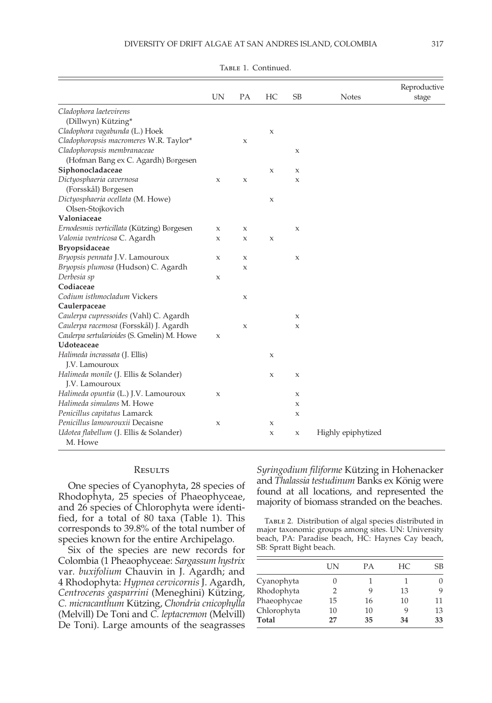|                                             |    |             |                     |             |              | Reproductive |
|---------------------------------------------|----|-------------|---------------------|-------------|--------------|--------------|
|                                             | UN | PA          | HC                  | <b>SB</b>   | <b>Notes</b> | stage        |
| Cladophora laetevirens                      |    |             |                     |             |              |              |
| (Dillwyn) Kützing*                          |    |             |                     |             |              |              |
| Cladophora vagabunda (L.) Hoek              |    |             | $\mathsf X$         |             |              |              |
| Cladophoropsis macromeres W.R. Taylor*      |    | X           |                     |             |              |              |
| Cladophoropsis membranaceae                 |    |             |                     | X           |              |              |
| (Hofman Bang ex C. Agardh) Børgesen         |    |             |                     |             |              |              |
| Siphonocladaceae                            |    |             | $\boldsymbol{\chi}$ | X           |              |              |
| Dictyosphaeria cavernosa                    | X  | X           |                     | X           |              |              |
| (Forsskål) Børgesen                         |    |             |                     |             |              |              |
| Dictyosphaeria ocellata (M. Howe)           |    |             | $\mathsf X$         |             |              |              |
| Olsen-Stojkovich                            |    |             |                     |             |              |              |
| Valoniaceae                                 |    |             |                     |             |              |              |
| Ernodesmis verticillata (Kützing) Børgesen  | X  | X           |                     | X           |              |              |
| Valonia ventricosa C. Agardh                | X  | X           | $\mathsf X$         |             |              |              |
| <b>Bryopsidaceae</b>                        |    |             |                     |             |              |              |
| Bryopsis pennata J.V. Lamouroux             | X  | X           |                     | $\mathsf X$ |              |              |
| Bryopsis plumosa (Hudson) C. Agardh         |    | X           |                     |             |              |              |
| Derbesia sp                                 | X  |             |                     |             |              |              |
| Codiaceae                                   |    |             |                     |             |              |              |
| Codium isthmocladum Vickers                 |    | $\mathsf X$ |                     |             |              |              |
| Caulerpaceae                                |    |             |                     |             |              |              |
| Caulerpa cupressoides (Vahl) C. Agardh      |    |             |                     | X           |              |              |
| Caulerpa racemosa (Forsskål) J. Agardh      |    | X           |                     | X           |              |              |
| Caulerpa sertularioides (S. Gmelin) M. Howe | X  |             |                     |             |              |              |
| Udoteaceae                                  |    |             |                     |             |              |              |
| Halimeda incrassata (J. Ellis)              |    |             | $\boldsymbol{\chi}$ |             |              |              |
| J.V. Lamouroux                              |    |             |                     |             |              |              |
| Halimeda monile (J. Ellis & Solander)       |    |             | X                   | X           |              |              |
| J.V. Lamouroux                              |    |             |                     |             |              |              |
| Halimeda opuntia (L.) J.V. Lamouroux        | Х  |             |                     | Х           |              |              |
| Halimeda simulans M. Howe                   |    |             |                     | X           |              |              |

TABLE 1. Continued.

### **RESULTS**

Udotea flabellum (J. Ellis & Solander)

M. Howe

Penicillus capitatus Lamarck x Penicillus lamourouxii Decaisne x x

One species of Cyanophyta, 28 species of Rhodophyta, 25 species of Phaeophyceae, and 26 species of Chlorophyta were identified, for a total of 80 taxa (Table 1). This corresponds to 39.8% of the total number of species known for the entire Archipelago.

Six of the species are new records for Colombia (1 Pheaophyceae: Sargassum hystrix var. buxifolium Chauvin in J. Agardh; and 4 Rhodophyta: Hypnea cervicornis J. Agardh, Centroceras gasparrini (Meneghini) Kützing, C. micracanthum Kützing, Chondria cnicophylla (Melvill) De Toni and C. leptacremon (Melvill) De Toni). Large amounts of the seagrasses

Syringodium filiforme Kützing in Hohenacker and Thalassia testudinum Banks ex König were found at all locations, and represented the majority of biomass stranded on the beaches.

x x Highly epiphytized

Table 2. Distribution of algal species distributed in major taxonomic groups among sites. UN: University beach, PA: Paradise beach, HC: Haynes Cay beach, SB: Spratt Bight beach.

|             | ĪΝ | PА | HC. | SB |
|-------------|----|----|-----|----|
| Cyanophyta  |    |    |     |    |
| Rhodophyta  |    |    | 13  |    |
| Phaeophycae | 15 | 16 | 10  | 11 |
| Chlorophyta | 10 | 10 |     | 13 |
| Total       | 27 | 35 | 34  | 33 |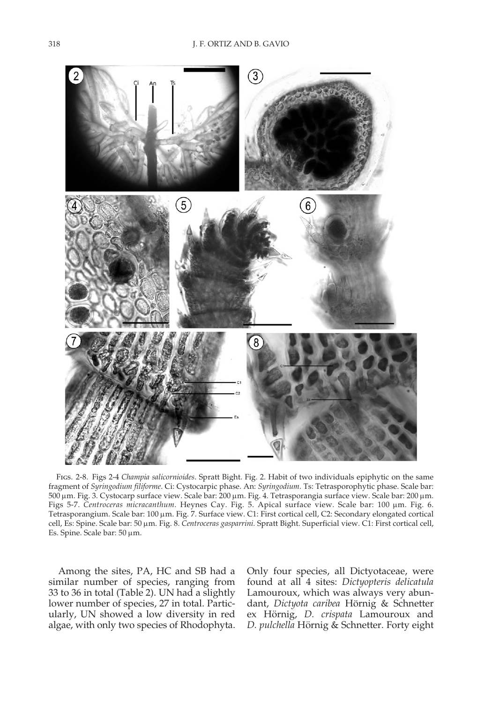

Figs. 2-8. Figs 2-4 Champia salicornioides. Spratt Bight. Fig. 2. Habit of two individuals epiphytic on the same fragment of Syringodium filiforme. Ci: Cystocarpic phase. An: Syringodium. Ts: Tetrasporophytic phase. Scale bar: 500 mm. Fig. 3. Cystocarp surface view. Scale bar: 200 mm. Fig. 4. Tetrasporangia surface view. Scale bar: 200 mm. Figs 5-7. Centroceras micracanthum. Heynes Cay. Fig. 5. Apical surface view. Scale bar: 100 µm. Fig. 6. Tetrasporangium. Scale bar: 100 µm. Fig. 7. Surface view. C1: First cortical cell, C2: Secondary elongated cortical cell, Es: Spine. Scale bar: 50 µm. Fig. 8. Centroceras gasparrini. Spratt Bight. Superficial view. C1: First cortical cell, Es. Spine. Scale bar: 50 µm.

Among the sites, PA, HC and SB had a similar number of species, ranging from 33 to 36 in total (Table 2). UN had a slightly lower number of species, 27 in total. Particularly, UN showed a low diversity in red algae, with only two species of Rhodophyta.

Only four species, all Dictyotaceae, were found at all 4 sites: Dictyopteris delicatula Lamouroux, which was always very abundant, Dictyota caribea Hörnig & Schnetter ex Hörnig, D. crispata Lamouroux and D. pulchella Hörnig & Schnetter. Forty eight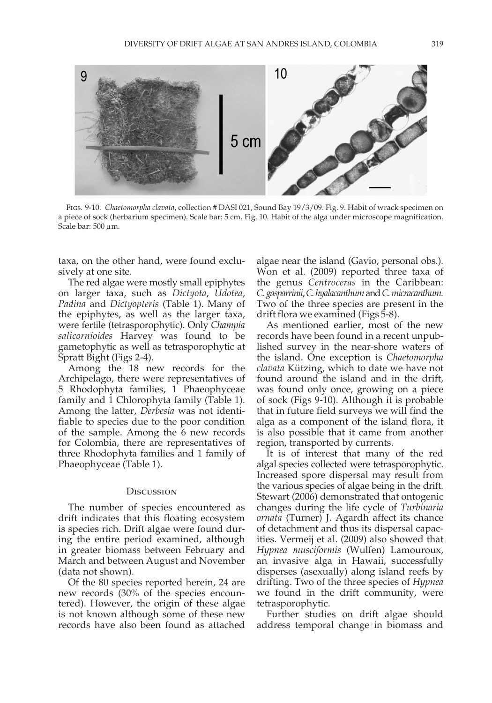

FIGS. 9-10. Chaetomorpha clavata, collection # DASI 021, Sound Bay 19/3/09. Fig. 9. Habit of wrack specimen on a piece of sock (herbarium specimen). Scale bar: 5 cm. Fig. 10. Habit of the alga under microscope magnification. Scale bar:  $500 \,\mu m$ .

taxa, on the other hand, were found exclusively at one site.

The red algae were mostly small epiphytes on larger taxa, such as Dictyota, Udotea, Padina and Dictyopteris (Table 1). Many of the epiphytes, as well as the larger taxa, were fertile (tetrasporophytic). Only Champia salicornioides Harvey was found to be gametophytic as well as tetrasporophytic at Spratt Bight (Figs 2-4).

Among the 18 new records for the Archipelago, there were representatives of 5 Rhodophyta families, 1 Phaeophyceae family and 1 Chlorophyta family (Table 1). Among the latter, Derbesia was not identifiable to species due to the poor condition of the sample. Among the 6 new records for Colombia, there are representatives of three Rhodophyta families and 1 family of Phaeophyceae (Table 1).

### **DISCUSSION**

The number of species encountered as drift indicates that this floating ecosystem is species rich. Drift algae were found during the entire period examined, although in greater biomass between February and March and between August and November (data not shown).

Of the 80 species reported herein, 24 are new records (30% of the species encountered). However, the origin of these algae is not known although some of these new records have also been found as attached algae near the island (Gavio, personal obs.). Won et al. (2009) reported three taxa of the genus Centroceras in the Caribbean: C. gasparrinii, C. hyalacanthum and C. micracanthum. Two of the three species are present in the drift flora we examined (Figs 5-8).

As mentioned earlier, most of the new records have been found in a recent unpublished survey in the near-shore waters of the island. One exception is Chaetomorpha clavata Kützing, which to date we have not found around the island and in the drift, was found only once, growing on a piece of sock (Figs 9-10). Although it is probable that in future field surveys we will find the alga as a component of the island flora, it is also possible that it came from another region, transported by currents.

It is of interest that many of the red algal species collected were tetrasporophytic. Increased spore dispersal may result from the various species of algae being in the drift. Stewart (2006) demonstrated that ontogenic changes during the life cycle of Turbinaria ornata (Turner) J. Agardh affect its chance of detachment and thus its dispersal capacities. Vermeij et al. (2009) also showed that Hypnea musciformis (Wulfen) Lamouroux, an invasive alga in Hawaii, successfully disperses (asexually) along island reefs by drifting. Two of the three species of Hypnea we found in the drift community, were tetrasporophytic.

Further studies on drift algae should address temporal change in biomass and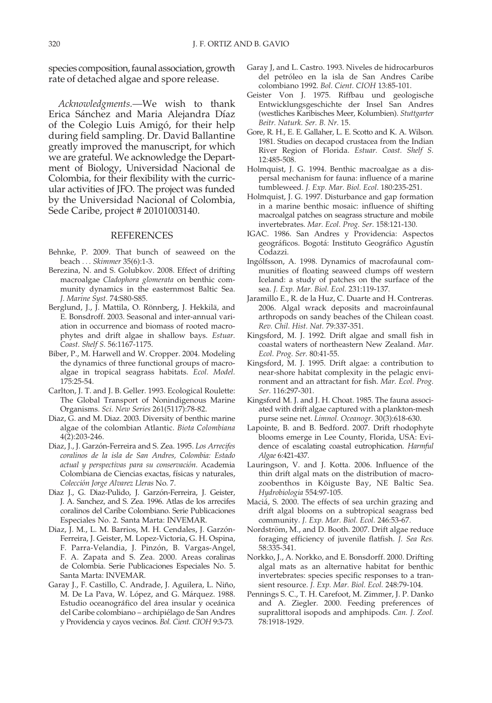species composition, faunal association, growth rate of detached algae and spore release.

Acknowledgments.—We wish to thank Erica Sánchez and Maria Alejandra Díaz of the Colegio Luis Amigó, for their help during field sampling. Dr. David Ballantine greatly improved the manuscript, for which we are grateful. We acknowledge the Department of Biology, Universidad Nacional de Colombia, for their flexibility with the curricular activities of JFO. The project was funded by the Universidad Nacional of Colombia, Sede Caribe, project # 20101003140.

## REFERENCES

- Behnke, P. 2009. That bunch of seaweed on the beach ... Skimmer 35(6):1-3.
- Berezina, N. and S. Golubkov. 2008. Effect of drifting macroalgae Cladophora glomerata on benthic community dynamics in the easternmost Baltic Sea. J. Marine Syst. 74:S80-S85.
- Berglund, J., J. Mattila, O. Rönnberg, J. Hekkilä, and E. Bonsdroff. 2003. Seasonal and inter-annual variation in occurrence and biomass of rooted macrophytes and drift algae in shallow bays. Estuar. Coast. Shelf S. 56:1167-1175.
- Biber, P., M. Harwell and W. Cropper. 2004. Modeling the dynamics of three functional groups of macroalgae in tropical seagrass habitats. Ecol. Model. 175:25-54.
- Carlton, J. T. and J. B. Geller. 1993. Ecological Roulette: The Global Transport of Nonindigenous Marine Organisms. Sci. New Series 261(5117):78-82.
- Diaz, G. and M. Diaz. 2003. Diversity of benthic marine algae of the colombian Atlantic. Biota Colombiana 4(2):203-246.
- Diaz, J., J. Garzón-Ferreira and S. Zea. 1995. Los Arrecifes coralinos de la isla de San Andres, Colombia: Estado actual y perspectivas para su conservación. Academia Colombiana de Ciencias exactas, físicas y naturales, Colección Jorge Alvarez Lleras No. 7.
- Diaz J., G. Diaz-Pulido, J. Garzón-Ferreira, J. Geister, J. A. Sanchez, and S. Zea. 1996. Atlas de los arrecifes coralinos del Caribe Colombiano. Serie Publicaciones Especiales No. 2. Santa Marta: INVEMAR.
- Diaz, J. M., L. M. Barrios, M. H. Cendales, J. Garzón-Ferreira, J. Geister, M. Lopez-Victoria, G. H. Ospina, F. Parra-Velandia, J. Pinzón, B. Vargas-Angel, F. A. Zapata and S. Zea. 2000. Areas coralinas de Colombia. Serie Publicaciones Especiales No. 5. Santa Marta: INVEMAR.
- Garay J., F. Castillo, C. Andrade, J. Aguilera, L. Niño, M. De La Pava, W. López, and G. Márquez. 1988. Estudio oceanográfico del área insular y oceánica del Caribe colombiano – archipiélago de San Andres y Providencia y cayos vecinos. Bol. Cient. CIOH 9:3-73.
- Garay J, and L. Castro. 1993. Niveles de hidrocarburos del petróleo en la isla de San Andres Caribe colombiano 1992. Bol. Cient. CIOH 13:85-101.
- Geister Von J. 1975. Riffbau und geologische Entwicklungsgeschichte der Insel San Andres (westliches Karibisches Meer, Kolumbien). Stuttgarter Beitr. Naturk. Ser. B. Nr. 15.
- Gore, R. H., E. E. Gallaher, L. E. Scotto and K. A. Wilson. 1981. Studies on decapod crustacea from the Indian River Region of Florida. Estuar. Coast. Shelf S. 12:485-508.
- Holmquist, J. G. 1994. Benthic macroalgae as a dispersal mechanism for fauna: influence of a marine tumbleweed. J. Exp. Mar. Biol. Ecol. 180:235-251.
- Holmquist, J. G. 1997. Disturbance and gap formation in a marine benthic mosaic: influence of shifting macroalgal patches on seagrass structure and mobile invertebrates. Mar. Ecol. Prog. Ser. 158:121-130.
- IGAC. 1986. San Andres y Providencia: Aspectos geográficos. Bogotá: Instituto Geográfico Agustín Codazzi.
- Ingólfsson, A. 1998. Dynamics of macrofaunal communities of floating seaweed clumps off western Iceland: a study of patches on the surface of the sea. J. Exp. Mar. Biol. Ecol. 231:119-137.
- Jaramillo E., R. de la Huz, C. Duarte and H. Contreras. 2006. Algal wrack deposits and macroinfaunal arthropods on sandy beaches of the Chilean coast. Rev. Chil. Hist. Nat. 79:337-351.
- Kingsford, M. J. 1992. Drift algae and small fish in coastal waters of northeastern New Zealand. Mar. Ecol. Prog. Ser. 80:41-55.
- Kingsford, M. J. 1995. Drift algae: a contribution to near-shore habitat complexity in the pelagic environment and an attractant for fish. Mar. Ecol. Prog. Ser. 116:297-301.
- Kingsford M. J. and J. H. Choat. 1985. The fauna associated with drift algae captured with a plankton-mesh purse seine net. Limnol. Oceanogr. 30(3):618-630.
- Lapointe, B. and B. Bedford. 2007. Drift rhodophyte blooms emerge in Lee County, Florida, USA: Evidence of escalating coastal eutrophication. Harmful Algae 6:421-437.
- Lauringson, V. and J. Kotta. 2006. Influence of the thin drift algal mats on the distribution of macrozoobenthos in Kõiguste Bay, NE Baltic Sea. Hydrobiologia 554:97-105.
- Maciá, S. 2000. The effects of sea urchin grazing and drift algal blooms on a subtropical seagrass bed community. J. Exp. Mar. Biol. Ecol. 246:53-67.
- Nordström, M., and D. Booth. 2007. Drift algae reduce foraging efficiency of juvenile flatfish. J. Sea Res. 58:335-341.
- Norkko, J., A. Norkko, and E. Bonsdorff. 2000. Drifting algal mats as an alternative habitat for benthic invertebrates: species specific responses to a transient resource. J. Exp. Mar. Biol. Ecol. 248:79-104.
- Pennings S. C., T. H. Carefoot, M. Zimmer, J. P. Danko and A. Ziegler. 2000. Feeding preferences of supralittoral isopods and amphipods. Can. J. Zool. 78:1918-1929.